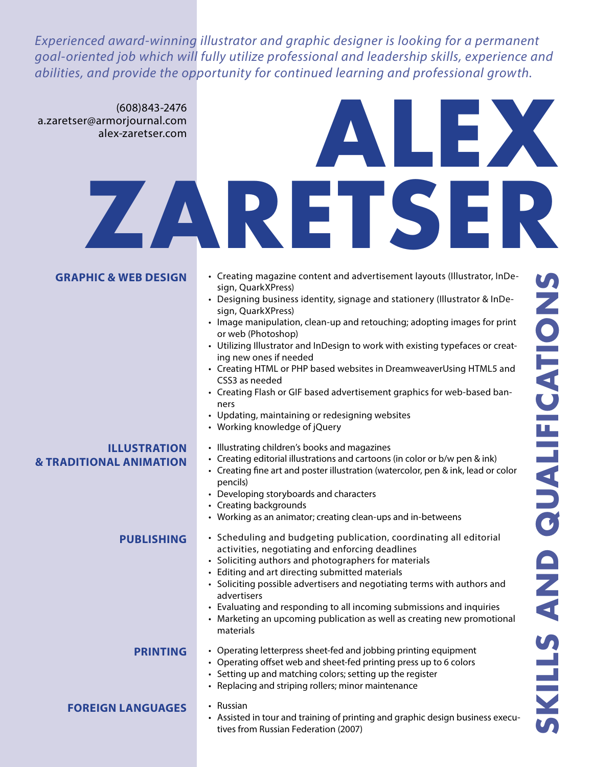*Experienced award-winning illustrator and graphic designer is looking for a permanent goal-oriented job which will fully utilize professional and leadership skills, experience and abilities, and provide the opportunity for continued learning and professional growth.*

# **Alex Zaretser** (608)843-2476 a.zaretser@armorjournal.com alex-zaretser.com

| <b>GRAPHIC &amp; WEB DESIGN</b>                           | • Creating magazine content and advertisement layouts (Illustrator, InDe-<br>sign, QuarkXPress)<br>• Designing business identity, signage and stationery (Illustrator & InDe-<br>sign, QuarkXPress)<br>• Image manipulation, clean-up and retouching; adopting images for print<br>or web (Photoshop)<br>• Utilizing Illustrator and InDesign to work with existing typefaces or creat-<br>ing new ones if needed<br>• Creating HTML or PHP based websites in DreamweaverUsing HTML5 and<br>CSS3 as needed<br>• Creating Flash or GIF based advertisement graphics for web-based ban-<br>ners<br>• Updating, maintaining or redesigning websites<br>• Working knowledge of jQuery | <b>PATIONS</b> |
|-----------------------------------------------------------|-----------------------------------------------------------------------------------------------------------------------------------------------------------------------------------------------------------------------------------------------------------------------------------------------------------------------------------------------------------------------------------------------------------------------------------------------------------------------------------------------------------------------------------------------------------------------------------------------------------------------------------------------------------------------------------|----------------|
| <b>ILLUSTRATION</b><br><b>&amp; TRADITIONAL ANIMATION</b> | • Illustrating children's books and magazines<br>• Creating editorial illustrations and cartoons (in color or b/w pen & ink)<br>• Creating fine art and poster illustration (watercolor, pen & ink, lead or color<br>pencils)<br>• Developing storyboards and characters<br>• Creating backgrounds<br>• Working as an animator; creating clean-ups and in-betweens                                                                                                                                                                                                                                                                                                                | UALF<br>C      |
| <b>PUBLISHING</b>                                         | • Scheduling and budgeting publication, coordinating all editorial<br>activities, negotiating and enforcing deadlines<br>• Soliciting authors and photographers for materials<br>• Editing and art directing submitted materials<br>• Soliciting possible advertisers and negotiating terms with authors and<br>advertisers<br>• Evaluating and responding to all incoming submissions and inquiries<br>• Marketing an upcoming publication as well as creating new promotional<br>materials                                                                                                                                                                                      | <b>AND</b>     |
| <b>PRINTING</b>                                           | • Operating letterpress sheet-fed and jobbing printing equipment<br>• Operating offset web and sheet-fed printing press up to 6 colors<br>• Setting up and matching colors; setting up the register<br>• Replacing and striping rollers; minor maintenance                                                                                                                                                                                                                                                                                                                                                                                                                        | $\frac{1}{2}$  |
| <b>FOREIGN LANGUAGES</b>                                  | • Russian<br>• Assisted in tour and training of printing and graphic design business execu-<br>tives from Russian Federation (2007)                                                                                                                                                                                                                                                                                                                                                                                                                                                                                                                                               |                |